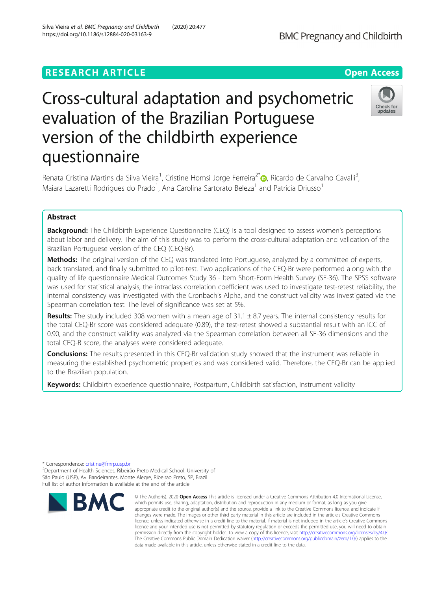## **RESEARCH ARTICLE Example 2014 12:30 The Contract of Contract ACCESS**

Check for undates

# Cross-cultural adaptation and psychometric evaluation of the Brazilian Portuguese version of the childbirth experience questionnaire

Renata Cristina Martins da Silva Vieira<sup>1</sup>, Cristine Homsi Jorge Ferreira<sup>2\*</sup> (@, Ricardo de Carvalho Cavalli<sup>3</sup> , Maiara Lazaretti Rodrigues do Prado<sup>1</sup>, Ana Carolina Sartorato Beleza<sup>1</sup> and Patricia Driusso<sup>1</sup>

## Abstract

**Background:** The Childbirth Experience Questionnaire (CEQ) is a tool designed to assess women's perceptions about labor and delivery. The aim of this study was to perform the cross-cultural adaptation and validation of the Brazilian Portuguese version of the CEQ (CEQ-Br).

Methods: The original version of the CEQ was translated into Portuguese, analyzed by a committee of experts, back translated, and finally submitted to pilot-test. Two applications of the CEQ-Br were performed along with the quality of life questionnaire Medical Outcomes Study 36 - Item Short-Form Health Survey (SF-36). The SPSS software was used for statistical analysis, the intraclass correlation coefficient was used to investigate test-retest reliability, the internal consistency was investigated with the Cronbach's Alpha, and the construct validity was investigated via the Spearman correlation test. The level of significance was set at 5%.

Results: The study included 308 women with a mean age of  $31.1 \pm 8.7$  years. The internal consistency results for the total CEQ-Br score was considered adequate (0.89), the test-retest showed a substantial result with an ICC of 0.90, and the construct validity was analyzed via the Spearman correlation between all SF-36 dimensions and the total CEQ-B score, the analyses were considered adequate.

Conclusions: The results presented in this CEQ-Br validation study showed that the instrument was reliable in measuring the established psychometric properties and was considered valid. Therefore, the CEQ-Br can be applied to the Brazilian population.

Keywords: Childbirth experience questionnaire, Postpartum, Childbirth satisfaction, Instrument validity

<sup>&</sup>lt;sup>2</sup>Department of Health Sciences, Ribeirão Preto Medical School, University of São Paulo (USP), Av. Bandeirantes, Monte Alegre, Ribeirao Preto, SP, Brazil Full list of author information is available at the end of the article



<sup>©</sup> The Author(s), 2020 **Open Access** This article is licensed under a Creative Commons Attribution 4.0 International License, which permits use, sharing, adaptation, distribution and reproduction in any medium or format, as long as you give appropriate credit to the original author(s) and the source, provide a link to the Creative Commons licence, and indicate if changes were made. The images or other third party material in this article are included in the article's Creative Commons licence, unless indicated otherwise in a credit line to the material. If material is not included in the article's Creative Commons licence and your intended use is not permitted by statutory regulation or exceeds the permitted use, you will need to obtain permission directly from the copyright holder. To view a copy of this licence, visit [http://creativecommons.org/licenses/by/4.0/.](http://creativecommons.org/licenses/by/4.0/) The Creative Commons Public Domain Dedication waiver [\(http://creativecommons.org/publicdomain/zero/1.0/](http://creativecommons.org/publicdomain/zero/1.0/)) applies to the data made available in this article, unless otherwise stated in a credit line to the data.

<sup>\*</sup> Correspondence: [cristine@fmrp.usp.br](mailto:cristine@fmrp.usp.br) <sup>2</sup>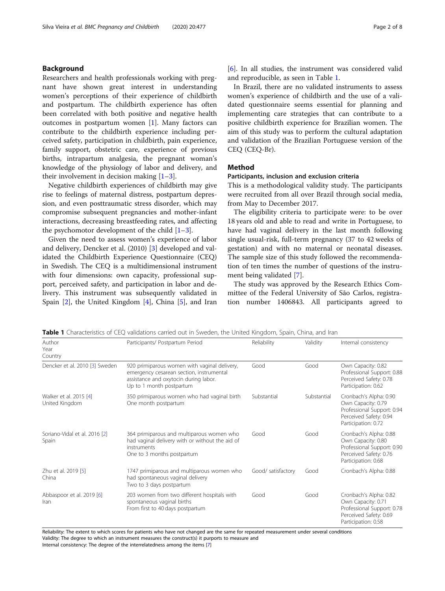## Background

Researchers and health professionals working with pregnant have shown great interest in understanding women's perceptions of their experience of childbirth and postpartum. The childbirth experience has often been correlated with both positive and negative health outcomes in postpartum women [\[1](#page-6-0)]. Many factors can contribute to the childbirth experience including perceived safety, participation in childbirth, pain experience, family support, obstetric care, experience of previous births, intrapartum analgesia, the pregnant woman's knowledge of the physiology of labor and delivery, and their involvement in decision making  $[1-3]$  $[1-3]$  $[1-3]$  $[1-3]$ .

Negative childbirth experiences of childbirth may give rise to feelings of maternal distress, postpartum depression, and even posttraumatic stress disorder, which may compromise subsequent pregnancies and mother-infant interactions, decreasing breastfeeding rates, and affecting the psychomotor development of the child  $[1-3]$  $[1-3]$  $[1-3]$  $[1-3]$ .

Given the need to assess women's experience of labor and delivery, Dencker et al. (2010) [[3\]](#page-6-0) developed and validated the Childbirth Experience Questionnaire (CEQ) in Swedish. The CEQ is a multidimensional instrument with four dimensions: own capacity, professional support, perceived safety, and participation in labor and delivery. This instrument was subsequently validated in Spain [[2](#page-6-0)], the United Kingdom [[4\]](#page-6-0), China [\[5](#page-6-0)], and Iran [[6\]](#page-6-0). In all studies, the instrument was considered valid and reproducible, as seen in Table 1.

In Brazil, there are no validated instruments to assess women's experience of childbirth and the use of a validated questionnaire seems essential for planning and implementing care strategies that can contribute to a positive childbirth experience for Brazilian women. The aim of this study was to perform the cultural adaptation and validation of the Brazilian Portuguese version of the CEQ (CEQ-Br).

## Method

## Participants, inclusion and exclusion criteria

This is a methodological validity study. The participants were recruited from all over Brazil through social media, from May to December 2017.

The eligibility criteria to participate were: to be over 18 years old and able to read and write in Portuguese, to have had vaginal delivery in the last month following single usual-risk, full-term pregnancy (37 to 42 weeks of gestation) and with no maternal or neonatal diseases. The sample size of this study followed the recommendation of ten times the number of questions of the instrument being validated [\[7](#page-6-0)].

The study was approved by the Research Ethics Committee of the Federal University of São Carlos, registration number 1406843. All participants agreed to

Author Year Country Participants/ Postpartum Period **Reliability** Validity Internal consistency Dencker et al. 2010 [[3](#page-6-0)] Sweden 920 primiparous women with vaginal delivery, emergency cesarean section, instrumental assistance and oxytocin during labor. Up to 1 month postpartum Good Good Own Capacity: 0.82 Professional Support: 0.88 Perceived Safety: 0.78 Participation: 0.62 Walker et al. 2015 [[4](#page-6-0)] United Kingdom 350 primiparous women who had vaginal birth One month postpartum Substantial Substantial Cronbach's Alpha: 0.90 Own Capacity: 0.79 Professional Support: 0.94 Perceived Safety: 0.94 Participation: 0.72 Soriano-Vidal et al. 2016 [[2\]](#page-6-0) Spain 364 primiparous and multiparous women who had vaginal delivery with or without the aid of instruments One to 3 months postpartum Good Good Cronbach's Alpha: 0.88 Own Capacity: 0.80 Professional Support: 0.90 Perceived Safety: 0.76 Participation: 0.68 Zhu et al. 2019 [\[5\]](#page-6-0) China 1747 primiparous and multiparous women who had spontaneous vaginal delivery Two to 3 days postpartum Good/ satisfactory Good Cronbach's Alpha: 0.88 Abbaspoor et al. 2019 [\[6](#page-6-0)] Iran 203 women from two different hospitals with spontaneous vaginal births From first to 40 days postpartum Good Good Cronbach's Alpha: 0.82 Own Capacity: 0.71 Professional Support: 0.78 Perceived Safety: 0.69 Participation: 0.58

**Table 1** Characteristics of CEQ validations carried out in Sweden, the United Kingdom, Spain, China, and Iran

Reliability: The extent to which scores for patients who have not changed are the same for repeated measurement under several conditions Validity: The degree to which an instrument measures the construct(s) it purports to measure and Internal consistency: The degree of the interrelatedness among the items [[7](#page-6-0)]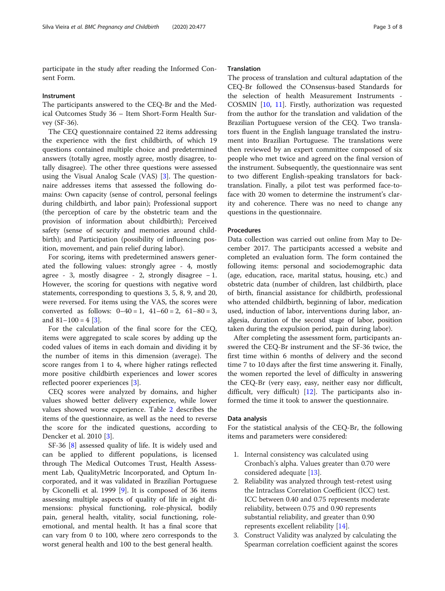participate in the study after reading the Informed Consent Form.

#### Instrument

The participants answered to the CEQ-Br and the Medical Outcomes Study 36 – Item Short-Form Health Survey (SF-36).

The CEQ questionnaire contained 22 items addressing the experience with the first childbirth, of which 19 questions contained multiple choice and predetermined answers (totally agree, mostly agree, mostly disagree, totally disagree). The other three questions were assessed using the Visual Analog Scale (VAS) [[3\]](#page-6-0). The questionnaire addresses items that assessed the following domains: Own capacity (sense of control, personal feelings during childbirth, and labor pain); Professional support (the perception of care by the obstetric team and the provision of information about childbirth); Perceived safety (sense of security and memories around childbirth); and Participation (possibility of influencing position, movement, and pain relief during labor).

For scoring, items with predetermined answers generated the following values: strongly agree - 4, mostly agree - 3, mostly disagree - 2, strongly disagree  $-1$ . However, the scoring for questions with negative word statements, corresponding to questions 3, 5, 8, 9, and 20, were reversed. For items using the VAS, the scores were converted as follows:  $0-40 = 1$ ,  $41-60 = 2$ ,  $61-80 = 3$ , and  $81-100 = 4$  [[3\]](#page-6-0).

For the calculation of the final score for the CEQ, items were aggregated to scale scores by adding up the coded values of items in each domain and dividing it by the number of items in this dimension (average). The score ranges from 1 to 4, where higher ratings reflected more positive childbirth experiences and lower scores reflected poorer experiences [\[3](#page-6-0)].

CEQ scores were analyzed by domains, and higher values showed better delivery experience, while lower values showed worse experience. Table [2](#page-3-0) describes the items of the questionnaire, as well as the need to reverse the score for the indicated questions, according to Dencker et al. 2010 [\[3](#page-6-0)].

SF-36 [[8\]](#page-6-0) assessed quality of life. It is widely used and can be applied to different populations, is licensed through The Medical Outcomes Trust, Health Assessment Lab, QualityMetric Incorporated, and Optum Incorporated, and it was validated in Brazilian Portuguese by Ciconelli et al. 1999 [\[9\]](#page-6-0). It is composed of 36 items assessing multiple aspects of quality of life in eight dimensions: physical functioning, role-physical, bodily pain, general health, vitality, social functioning, roleemotional, and mental health. It has a final score that can vary from 0 to 100, where zero corresponds to the worst general health and 100 to the best general health.

## **Translation**

The process of translation and cultural adaptation of the CEQ-Br followed the COnsensus-based Standards for the selection of health Measurement Instruments - COSMIN [[10,](#page-6-0) [11](#page-6-0)]. Firstly, authorization was requested from the author for the translation and validation of the Brazilian Portuguese version of the CEQ. Two translators fluent in the English language translated the instrument into Brazilian Portuguese. The translations were then reviewed by an expert committee composed of six people who met twice and agreed on the final version of the instrument. Subsequently, the questionnaire was sent to two different English-speaking translators for backtranslation. Finally, a pilot test was performed face-toface with 20 women to determine the instrument's clarity and coherence. There was no need to change any questions in the questionnaire.

## Procedures

Data collection was carried out online from May to December 2017. The participants accessed a website and completed an evaluation form. The form contained the following items: personal and sociodemographic data (age, education, race, marital status, housing, etc.) and obstetric data (number of children, last childbirth, place of birth, financial assistance for childbirth, professional who attended childbirth, beginning of labor, medication used, induction of labor, interventions during labor, analgesia, duration of the second stage of labor, position taken during the expulsion period, pain during labor).

After completing the assessment form, participants answered the CEQ-Br instrument and the SF-36 twice, the first time within 6 months of delivery and the second time 7 to 10 days after the first time answering it. Finally, the women reported the level of difficulty in answering the CEQ-Br (very easy, easy, neither easy nor difficult, difficult, very difficult) [[12\]](#page-6-0). The participants also informed the time it took to answer the questionnaire.

#### Data analysis

For the statistical analysis of the CEQ-Br, the following items and parameters were considered:

- 1. Internal consistency was calculated using Cronbach's alpha. Values greater than 0.70 were considered adequate [[13](#page-6-0)].
- 2. Reliability was analyzed through test-retest using the Intraclass Correlation Coefficient (ICC) test. ICC between 0.40 and 0.75 represents moderate reliability, between 0.75 and 0.90 represents substantial reliability, and greater than 0.90 represents excellent reliability [\[14\]](#page-6-0).
- 3. Construct Validity was analyzed by calculating the Spearman correlation coefficient against the scores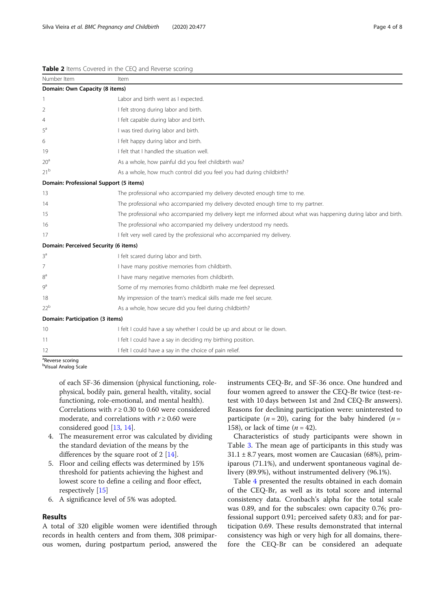#### <span id="page-3-0"></span>Table 2 Items Covered in the CEQ and Reverse scoring

| Number Item                            | Item                                                                                                           |  |  |
|----------------------------------------|----------------------------------------------------------------------------------------------------------------|--|--|
| Domain: Own Capacity (8 items)         |                                                                                                                |  |  |
| 1                                      | Labor and birth went as I expected.                                                                            |  |  |
| 2                                      | I felt strong during labor and birth.                                                                          |  |  |
| 4                                      | I felt capable during labor and birth.                                                                         |  |  |
| $5^a$                                  | I was tired during labor and birth.                                                                            |  |  |
| 6                                      | I felt happy during labor and birth.                                                                           |  |  |
| 19                                     | I felt that I handled the situation well.                                                                      |  |  |
| 20 <sup>a</sup>                        | As a whole, how painful did you feel childbirth was?                                                           |  |  |
| 21 <sup>b</sup>                        | As a whole, how much control did you feel you had during childbirth?                                           |  |  |
| Domain: Professional Support (5 items) |                                                                                                                |  |  |
| 13                                     | The professional who accompanied my delivery devoted enough time to me.                                        |  |  |
| 14                                     | The professional who accompanied my delivery devoted enough time to my partner.                                |  |  |
| 15                                     | The professional who accompanied my delivery kept me informed about what was happening during labor and birth. |  |  |
| 16                                     | The professional who accompanied my delivery understood my needs.                                              |  |  |
| 17                                     | I felt very well cared by the professional who accompanied my delivery.                                        |  |  |
| Domain: Perceived Security (6 items)   |                                                                                                                |  |  |
| 3 <sup>a</sup>                         | I felt scared during labor and birth.                                                                          |  |  |
| 7                                      | I have many positive memories from childbirth.                                                                 |  |  |
| $8^{\rm a}$                            | I have many negative memories from childbirth.                                                                 |  |  |
| 9 <sup>a</sup>                         | Some of my memories fromo childbirth make me feel depressed.                                                   |  |  |
| 18                                     | My impression of the team's medical skills made me feel secure.                                                |  |  |
| 22 <sup>b</sup>                        | As a whole, how secure did you feel during childbirth?                                                         |  |  |
| Domain: Participation (3 items)        |                                                                                                                |  |  |
| 10                                     | I felt I could have a say whether I could be up and about or lie down.                                         |  |  |
| 11                                     | I felt I could have a say in deciding my birthing position.                                                    |  |  |
| 12                                     | I felt I could have a say in the choice of pain relief.                                                        |  |  |
| <sup>a</sup> Reverse scoring           |                                                                                                                |  |  |

b Visual Analog Scale

of each SF-36 dimension (physical functioning, rolephysical, bodily pain, general health, vitality, social functioning, role-emotional, and mental health). Correlations with  $r \ge 0.30$  to 0.60 were considered moderate, and correlations with  $r \geq 0.60$  were considered good [\[13](#page-6-0), [14\]](#page-6-0).

- 4. The measurement error was calculated by dividing the standard deviation of the means by the differences by the square root of 2 [[14\]](#page-6-0).
- 5. Floor and ceiling effects was determined by 15% threshold for patients achieving the highest and lowest score to define a ceiling and floor effect, respectively [\[15\]](#page-6-0)
- 6. A significance level of 5% was adopted.

## Results

A total of 320 eligible women were identified through records in health centers and from them, 308 primiparous women, during postpartum period, answered the instruments CEQ-Br, and SF-36 once. One hundred and four women agreed to answer the CEQ-Br twice (test-retest with 10 days between 1st and 2nd CEQ-Br answers). Reasons for declining participation were: uninterested to participate ( $n = 20$ ), caring for the baby hindered ( $n =$ 158), or lack of time  $(n = 42)$ .

Characteristics of study participants were shown in Table [3](#page-4-0). The mean age of participants in this study was  $31.1 \pm 8.7$  years, most women are Caucasian (68%), primiparous (71.1%), and underwent spontaneous vaginal delivery (89.9%), without instrumented delivery (96.1%).

Table [4](#page-5-0) presented the results obtained in each domain of the CEQ-Br, as well as its total score and internal consistency data. Cronbach's alpha for the total scale was 0.89, and for the subscales: own capacity 0.76; professional support 0.91; perceived safety 0.83; and for participation 0.69. These results demonstrated that internal consistency was high or very high for all domains, therefore the CEQ-Br can be considered an adequate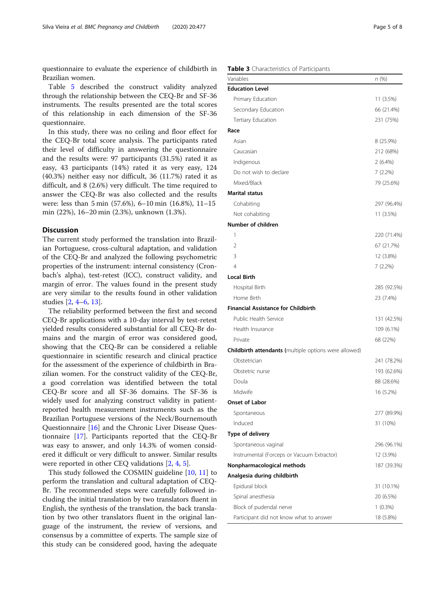<span id="page-4-0"></span>questionnaire to evaluate the experience of childbirth in Brazilian women.

Table [5](#page-5-0) described the construct validity analyzed through the relationship between the CEQ-Br and SF-36 instruments. The results presented are the total scores of this relationship in each dimension of the SF-36 questionnaire.

In this study, there was no ceiling and floor effect for the CEQ-Br total score analysis. The participants rated their level of difficulty in answering the questionnaire and the results were: 97 participants (31.5%) rated it as easy, 43 participants (14%) rated it as very easy, 124 (40.3%) neither easy nor difficult, 36 (11.7%) rated it as difficult, and 8 (2.6%) very difficult. The time required to answer the CEQ-Br was also collected and the results were: less than 5 min (57.6%), 6–10 min (16.8%), 11–15 min (22%), 16–20 min (2.3%), unknown (1.3%).

## **Discussion**

The current study performed the translation into Brazilian Portuguese, cross-cultural adaptation, and validation of the CEQ-Br and analyzed the following psychometric properties of the instrument: internal consistency (Cronbach's alpha), test-retest (ICC), construct validity, and margin of error. The values found in the present study are very similar to the results found in other validation studies [\[2,](#page-6-0) [4](#page-6-0)–[6,](#page-6-0) [13\]](#page-6-0).

The reliability performed between the first and second CEQ-Br applications with a 10-day interval by test-retest yielded results considered substantial for all CEQ-Br domains and the margin of error was considered good, showing that the CEQ-Br can be considered a reliable questionnaire in scientific research and clinical practice for the assessment of the experience of childbirth in Brazilian women. For the construct validity of the CEQ-Br, a good correlation was identified between the total CEQ-Br score and all SF-36 domains. The SF-36 is widely used for analyzing construct validity in patientreported health measurement instruments such as the Brazilian Portuguese versions of the Neck/Bournemouth Questionnaire [\[16\]](#page-6-0) and the Chronic Liver Disease Questionnaire [\[17](#page-6-0)]. Participants reported that the CEQ-Br was easy to answer, and only 14.3% of women considered it difficult or very difficult to answer. Similar results were reported in other CEQ validations [[2,](#page-6-0) [4,](#page-6-0) [5\]](#page-6-0).

This study followed the COSMIN guideline [[10,](#page-6-0) [11\]](#page-6-0) to perform the translation and cultural adaptation of CEQ-Br. The recommended steps were carefully followed including the initial translation by two translators fluent in English, the synthesis of the translation, the back translation by two other translators fluent in the original language of the instrument, the review of versions, and consensus by a committee of experts. The sample size of this study can be considered good, having the adequate

## Table 3 Characteristics of Participants

| Variables                                                    | n (%)       |
|--------------------------------------------------------------|-------------|
| <b>Education Level</b>                                       |             |
| Primary Education                                            | 11 (3.5%)   |
| Secondary Education                                          | 66 (21.4%)  |
| Tertiary Education                                           | 231 (75%)   |
| Race                                                         |             |
| Asian                                                        | 8 (25.9%)   |
| Caucasian                                                    | 212 (68%)   |
| Indigenous                                                   | 2(6.4%)     |
| Do not wish to declare                                       | 7 (2.2%)    |
| Mixed/Black                                                  | 79 (25.6%)  |
| <b>Marital status</b>                                        |             |
| Cohabiting                                                   | 297 (96.4%) |
| Not cohabiting                                               | 11 (3.5%)   |
| Number of children                                           |             |
| 1                                                            | 220 (71.4%) |
| 2                                                            | 67 (21.7%)  |
| 3                                                            | 12 (3.8%)   |
| 4                                                            | 7 (2.2%)    |
| <b>Local Birth</b>                                           |             |
| Hospital Birth                                               | 285 (92.5%) |
| Home Birth                                                   | 23 (7.4%)   |
| <b>Financial Assistance for Childbirth</b>                   |             |
| Public Health Service                                        | 131 (42.5%) |
| Health Insurance                                             | 109 (6.1%)  |
| Private                                                      | 68 (22%)    |
| <b>Childbirth attendants (multiple options were allowed)</b> |             |
| Obstetrician                                                 | 241 (78.2%) |
| Obstetric nurse                                              | 193 (62.6%) |
| Doula                                                        | 88 (28.6%)  |
| Midwife                                                      | 16 (5.2%)   |
| <b>Onset of Labor</b>                                        |             |
| Spontaneous                                                  | 277 (89.9%) |
| Induced                                                      | 31 (10%)    |
| Type of delivery                                             |             |
| Spontaneous vaginal                                          | 296 (96.1%) |
| Instrumental (Forceps or Vacuum Extractor)                   | 12 (3.9%)   |
| Nonpharmacological methods                                   | 187 (39.3%) |
| Analgesia during childbirth                                  |             |
| Epidural block                                               | 31 (10.1%)  |
| Spinal anesthesia                                            | 20 (6.5%)   |
| Block of pudendal nerve                                      | $1(0.3\%)$  |
| Participant did not know what to answer                      | 18 (5.8%)   |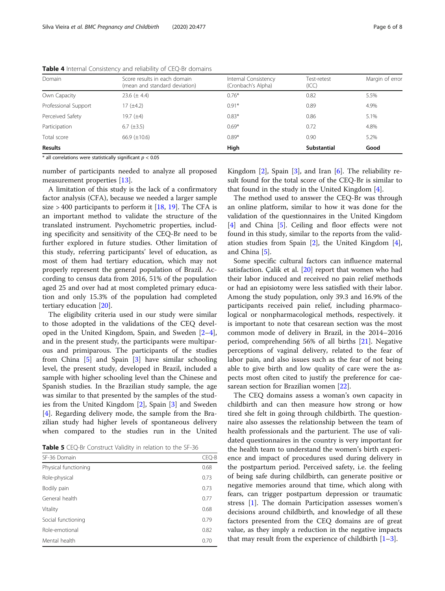| Domain               | Score results in each domain<br>(mean and standard deviation) | Internal Consistency<br>(Cronbach's Alpha) | Test-retest<br>(ICC) | Margin of error |
|----------------------|---------------------------------------------------------------|--------------------------------------------|----------------------|-----------------|
| Own Capacity         | 23.6 $(\pm 4.4)$                                              | $0.76*$                                    | 0.82                 | 5.5%            |
| Professional Support | $17 (\pm 4.2)$                                                | $0.91*$                                    | 0.89                 | 4.9%            |
| Perceived Safety     | 19.7 $(\pm 4)$                                                | $0.83*$                                    | 0.86                 | 5.1%            |
| Participation        | $6.7 (\pm 3.5)$                                               | $0.69*$                                    | 0.72                 | 4.8%            |
| Total score          | 66.9 $(\pm 10.6)$                                             | $0.89*$                                    | 0.90                 | 5.2%            |
| <b>Results</b>       |                                                               | High                                       | <b>Substantial</b>   | Good            |

<span id="page-5-0"></span>Table 4 Internal Consistency and reliability of CEQ-Br domains

 $*$  all correlations were statistically significant  $p < 0.05$ 

number of participants needed to analyze all proposed measurement properties [\[13](#page-6-0)].

A limitation of this study is the lack of a confirmatory factor analysis (CFA), because we needed a larger sample size  $> 400$  participants to perform it [\[18,](#page-6-0) [19\]](#page-6-0). The CFA is an important method to validate the structure of the translated instrument. Psychometric properties, including specificity and sensitivity of the CEQ-Br need to be further explored in future studies. Other limitation of this study, referring participants' level of education, as most of them had tertiary education, which may not properly represent the general population of Brazil. According to census data from 2016, 51% of the population aged 25 and over had at most completed primary education and only 15.3% of the population had completed tertiary education [\[20](#page-6-0)].

The eligibility criteria used in our study were similar to those adopted in the validations of the CEQ developed in the United Kingdom, Spain, and Sweden [\[2](#page-6-0)–[4](#page-6-0)], and in the present study, the participants were multiparous and primiparous. The participants of the studies from China [\[5](#page-6-0)] and Spain [[3](#page-6-0)] have similar schooling level, the present study, developed in Brazil, included a sample with higher schooling level than the Chinese and Spanish studies. In the Brazilian study sample, the age was similar to that presented by the samples of the studies from the United Kingdom [\[2](#page-6-0)], Spain [\[3](#page-6-0)] and Sweden [[4\]](#page-6-0). Regarding delivery mode, the sample from the Brazilian study had higher levels of spontaneous delivery when compared to the studies run in the United

Table 5 CEO-Br Construct Validity in relation to the SF-36

| SF-36 Domain         | CEQ-B |  |  |  |
|----------------------|-------|--|--|--|
| Physical functioning | 0.68  |  |  |  |
| Role-physical        | 0.73  |  |  |  |
| Bodily pain          | 0.73  |  |  |  |
| General health       | 0.77  |  |  |  |
| Vitality             | 0.68  |  |  |  |
| Social functioning   | 0.79  |  |  |  |
| Role-emotional       | 0.82  |  |  |  |
| Mental health        |       |  |  |  |

Kingdom  $[2]$  $[2]$ , Spain  $[3]$  $[3]$  $[3]$ , and Iran  $[6]$  $[6]$ . The reliability result found for the total score of the CEQ-Br is similar to that found in the study in the United Kingdom [[4](#page-6-0)].

The method used to answer the CEQ-Br was through an online platform, similar to how it was done for the validation of the questionnaires in the United Kingdom [[4\]](#page-6-0) and China [\[5](#page-6-0)]. Ceiling and floor effects were not found in this study, similar to the reports from the validation studies from Spain [[2\]](#page-6-0), the United Kingdom [\[4](#page-6-0)], and China [\[5](#page-6-0)].

Some specific cultural factors can influence maternal satisfaction. Çalik et al. [\[20\]](#page-6-0) report that women who had their labor induced and received no pain relief methods or had an episiotomy were less satisfied with their labor. Among the study population, only 39.3 and 16.9% of the participants received pain relief, including pharmacological or nonpharmacological methods, respectively. it is important to note that cesarean section was the most common mode of delivery in Brazil, in the 2014–2016 period, comprehending 56% of all births [[21](#page-6-0)]. Negative perceptions of vaginal delivery, related to the fear of labor pain, and also issues such as the fear of not being able to give birth and low quality of care were the aspects most often cited to justify the preference for caesarean section for Brazilian women [[22\]](#page-7-0).

The CEQ domains assess a woman's own capacity in childbirth and can then measure how strong or how tired she felt in going through childbirth. The questionnaire also assesses the relationship between the team of health professionals and the parturient. The use of validated questionnaires in the country is very important for the health team to understand the women's birth experience and impact of procedures used during delivery in the postpartum period. Perceived safety, i.e. the feeling of being safe during childbirth, can generate positive or negative memories around that time, which along with fears, can trigger postpartum depression or traumatic stress [[1\]](#page-6-0). The domain Participation assesses women's decisions around childbirth, and knowledge of all these factors presented from the CEQ domains are of great value, as they imply a reduction in the negative impacts that may result from the experience of childbirth  $[1-3]$  $[1-3]$  $[1-3]$  $[1-3]$  $[1-3]$ .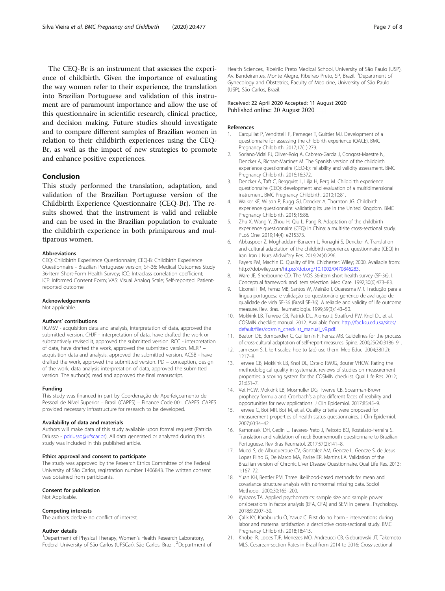<span id="page-6-0"></span>The CEQ-Br is an instrument that assesses the experience of childbirth. Given the importance of evaluating the way women refer to their experience, the translation into Brazilian Portuguese and validation of this instrument are of paramount importance and allow the use of this questionnaire in scientific research, clinical practice, and decision making. Future studies should investigate and to compare different samples of Brazilian women in relation to their childbirth experiences using the CEQ-Br, as well as the impact of new strategies to promote and enhance positive experiences.

#### Conclusion

This study performed the translation, adaptation, and validation of the Brazilian Portuguese version of the Childbirth Experience Questionnaire (CEQ-Br). The results showed that the instrument is valid and reliable and can be used in the Brazilian population to evaluate the childbirth experience in both primiparous and multiparous women.

#### Abbreviations

CEQ: Childbirth Experience Questionnaire; CEQ-B: Childbirth Experience Questionnaire - Brazilian Portuguese version; SF-36: Medical Outcomes Study 36-Item Short-Form Health Survey; ICC: Intraclass correlation coefficient; ICF: Informed Consent Form; VAS: Visual Analog Scale; Self-reported: Patientreported outcome

#### Acknowledgements

Not applicable.

### Authors' contributions

RCMSV - acquisition data and analysis, interpretation of data, approved the submitted version. CHJF - interpretation of data, have drafted the work or substantively revised it, approved the submitted version. RCC - interpretation of data, have drafted the work, approved the submitted version. MLRP – acquisition data and analysis, approved the submitted version. ACSB - have drafted the work, approved the submitted version. PD – conception, design of the work, data analysis interpretation of data, approved the submitted version. The author(s) read and approved the final manuscript.

#### Funding

This study was financed in part by Coordenação de Aperfeiçoamento de Pessoal de Nível Superior – Brasil (CAPES) – Finance Code 001. CAPES. CAPES provided necessary infrastructure for research to be developed.

#### Availability of data and materials

Authors will make data of this study available upon formal request (Patricia Driusso - [pdriusso@ufscar.br\)](mailto:pdriusso@ufscar.br). All data generated or analyzed during this study was included in this published article.

#### Ethics approval and consent to participate

The study was approved by the Research Ethics Committee of the Federal University of São Carlos, registration number 1406843. The written consent was obtained from participants.

#### Consent for publication

Not Applicable.

#### Competing interests

The authors declare no conflict of interest.

#### Author details

<sup>1</sup>Department of Physical Therapy, Women's Health Research Laboratory, Federal University of São Carlos (UFSCar), São Carlos, Brazil. <sup>2</sup>Department of Health Sciences, Ribeirão Preto Medical School, University of São Paulo (USP), Av. Bandeirantes, Monte Alegre, Ribeirao Preto, SP, Brazil. <sup>3</sup>Department of Gynecology and Obstetrics, Faculty of Medicine, University of São Paulo (USP), São Carlos, Brazil.

## Received: 22 April 2020 Accepted: 11 August 2020 Published online: 20 August 2020

#### References

- 1. Carquillat P, Vendittelli F, Perneger T, Guittier MJ. Development of a questionnaire for assessing the childbirth experience (QACE). BMC Pregnancy Childbirth. 2017;17(1):279.
- 2. Soriano-Vidal FJ, Oliver-Roig A, Cabrero-García J, Congost-Maestre N, Dencker A, Richart-Martínez M. The Spanish version of the childbirth experience questionnaire (CEQ-E): reliability and validity assessment. BMC Pregnancy Childbirth. 2016;16:372.
- 3. Dencker A, Taft C, Bergqvist L, Lilja H, Berg M. Childbirth experience questionnaire (CEQ): development and evaluation of a multidimensional instrument. BMC Pregnancy Childbirth. 2010;10:81.
- 4. Walker KF, Wilson P, Bugg GJ, Dencker A, Thornton JG. Childbirth experience questionnaire: validating its use in the United Kingdom. BMC Pregnancy Childbirth. 2015;15:86.
- 5. Zhu X, Wang Y, Zhou H, Qiu L, Pang R. Adaptation of the childbirth experience questionnaire (CEQ) in China: a multisite cross-sectional study. PLoS One. 2019;14(4): e215373.
- 6. Abbaspoor Z, Moghaddam-Banaem L, Ronaghi S, Dencker A. Translation and cultural adaptation of the childbirth experience questionnaire (CEQ) in Iran. Iran J Nurs Midwifery Res. 2019;24(4):296.
- 7. Fayers PM, Machin D. Quality of life. Chichester: Wiley; 2000. Available from: http://doi.wiley.com/<https://doi.org/10.1002/0470846283>.
- 8. Ware JE, Sherbourne CD. The MOS 36-item short health survey (SF-36). I. Conceptual framework and item selection. Med Care. 1992;30(6):473–83.
- 9. Ciconelli RM, Ferraz MB, Santos W, Meinão I, Quaresma MR. Tradução para a língua portuguesa e validação do questionário genérico de avaliação de qualidade de vida SF-36 (Brasil SF-36). A reliable and validity of life outcome measure. Rev. Bras. Reumatologia. 1999;39(3):143–50.
- 10. Mokkink LB, Terwee CB, Patrick DL, Alonso J, Stratford PW, Knol DL et al. COSMIN checklist manual. 2012. Available from: [http://fac.ksu.edu.sa/sites/](http://fac.ksu.edu.sa/sites/default/files/cosmin_checklist_manual_v9.pdf) [default/files/cosmin\\_checklist\\_manual\\_v9.pdf.](http://fac.ksu.edu.sa/sites/default/files/cosmin_checklist_manual_v9.pdf)
- 11. Beaton DE, Bombardier C, Guillemin F, Ferraz MB. Guidelines for the process of cross-cultural adaptation of self-report measures. Spine. 2000;25(24):3186–91.
- 12. Jamieson S. Likert scales: hoe to (ab) use them. Med Educ. 2004;38(12): 1217–8.
- 13. Terwee CB, Mokkink LB, Knol DL, Ostelo RWJG, Bouter VHCW. Rating the methodological quality in systematic reviews of studies on measurement properties: a scoring system for the COSMIN checklist. Qual Life Res. 2012; 21:651–7.
- 14. Vet HCW, Mokkink LB, Mosmuller DG, Twerve CB. Spearman-Brown prophecy formula and Cronbach's alpha: different faces of reability and opportunities for new applications. J Clin Epidemiol. 2017;85:45–9.
- 15. Terwee C, Bot MR, Bot M, et al. Quality criteria were proposed for measurement properties of health status questionnaires. J Clin Epidemiol. 2007;60:34–42.
- 16. Kamonseki DH, Cedin L, Tavares-Preto J, Peixoto BO, Rostelato-Ferreira S. Translation and validation of neck Bournemouth questionnaire to Brazilian Portuguese. Rev Bras Reumatol. 2017;57(2):141–8.
- 17. Mucci S, de Albuquerque CV, Gonzalez AM, Geocze L, Geocze S, de Jesus Lopes Filho G, De Marco MA, Parise ER, Martins LA. Validation of the Brazilian version of Chronic Liver Disease Questionnaire. Qual Life Res. 2013; 1:167–72.
- 18. Yuan KH, Bentler PM. Three likelihood-based methods for mean and covariance structure analysis with nonnormal missing data. Sociol Methodol. 2000;30:165–200.
- 19. Kyriazos TA. Applied psychometrics: sample size and sample power onsiderations in factor analysis (EFA, CFA) and SEM in general. Psychology. 2018;9:2207–30.
- 20. Çalik KY, Karabulutlu Ö, Yavuz C. First do no harm interventions during labor and maternal satisfaction: a descriptive cross-sectional study. BMC Pregnancy Childbirth. 2018;18:415.
- 21. Knobel R, Lopes TJP, Menezes MO, Andreucci CB, Gieburowski JT, Takemoto MLS. Cesarean-section Rates in Brazil from 2014 to 2016: Cross-sectional